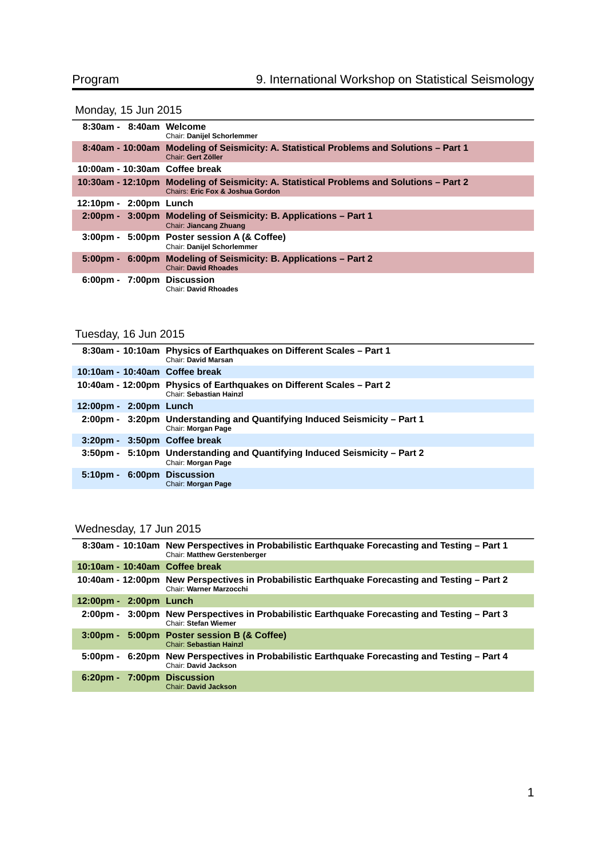# Monday, 15 Jun 2015

| 8:30am - 8:40am Welcome        | Chair: Danijel Schorlemmer                                                                                                              |
|--------------------------------|-----------------------------------------------------------------------------------------------------------------------------------------|
|                                | 8:40am - 10:00am Modeling of Seismicity: A. Statistical Problems and Solutions – Part 1<br>Chair: Gert Zöller                           |
| 10:00am - 10:30am Coffee break |                                                                                                                                         |
|                                | 10:30am - 12:10pm Modeling of Seismicity: A. Statistical Problems and Solutions – Part 2<br><b>Chairs: Eric Fox &amp; Joshua Gordon</b> |
| 12:10pm - 2:00pm Lunch         |                                                                                                                                         |
|                                | 2:00pm - 3:00pm Modeling of Seismicity: B. Applications – Part 1<br>Chair: Jiancang Zhuang                                              |
|                                | 3:00pm - 5:00pm Poster session A (& Coffee)<br>Chair: Danijel Schorlemmer                                                               |
| $5:00 \text{pm} -$             | 6:00pm Modeling of Seismicity: B. Applications – Part 2<br><b>Chair: David Rhoades</b>                                                  |
| 6:00pm - 7:00pm Discussion     | <b>Chair: David Rhoades</b>                                                                                                             |

# Tuesday, 16 Jun 2015

|                                | 8:30am - 10:10am Physics of Earthquakes on Different Scales – Part 1<br><b>Chair: David Marsan</b>      |
|--------------------------------|---------------------------------------------------------------------------------------------------------|
| 10:10am - 10:40am Coffee break |                                                                                                         |
|                                | 10:40am - 12:00pm Physics of Earthquakes on Different Scales – Part 2<br><b>Chair: Sebastian Hainzl</b> |
| 12:00pm - 2:00pm Lunch         |                                                                                                         |
|                                | 2:00pm - 3:20pm Understanding and Quantifying Induced Seismicity – Part 1<br>Chair: Morgan Page         |
| $3:20$ pm -                    | 3:50pm Coffee break                                                                                     |
| 3:50pm -                       | 5:10pm Understanding and Quantifying Induced Seismicity – Part 2<br>Chair: Morgan Page                  |
| $5:10pm -$                     | 6:00pm Discussion<br>Chair: Morgan Page                                                                 |

## Wednesday, 17 Jun 2015

|                                | 8:30am - 10:10am New Perspectives in Probabilistic Earthquake Forecasting and Testing - Part 1<br><b>Chair: Matthew Gerstenberger</b> |
|--------------------------------|---------------------------------------------------------------------------------------------------------------------------------------|
| 10:10am - 10:40am Coffee break |                                                                                                                                       |
|                                | 10:40am - 12:00pm New Perspectives in Probabilistic Earthquake Forecasting and Testing – Part 2<br>Chair: Warner Marzocchi            |
| 12:00pm - 2:00pm Lunch         |                                                                                                                                       |
| 2:00pm -                       | 3:00pm New Perspectives in Probabilistic Earthquake Forecasting and Testing – Part 3<br>Chair: Stefan Wiemer                          |
| $3:00 \text{pm} -$             | 5:00pm Poster session B (& Coffee)<br><b>Chair: Sebastian Hainzl</b>                                                                  |
| 5:00pm -                       | 6:20pm New Perspectives in Probabilistic Earthquake Forecasting and Testing – Part 4<br>Chair: David Jackson                          |
| $6:20$ pm -                    | <b>7:00pm Discussion</b><br><b>Chair: David Jackson</b>                                                                               |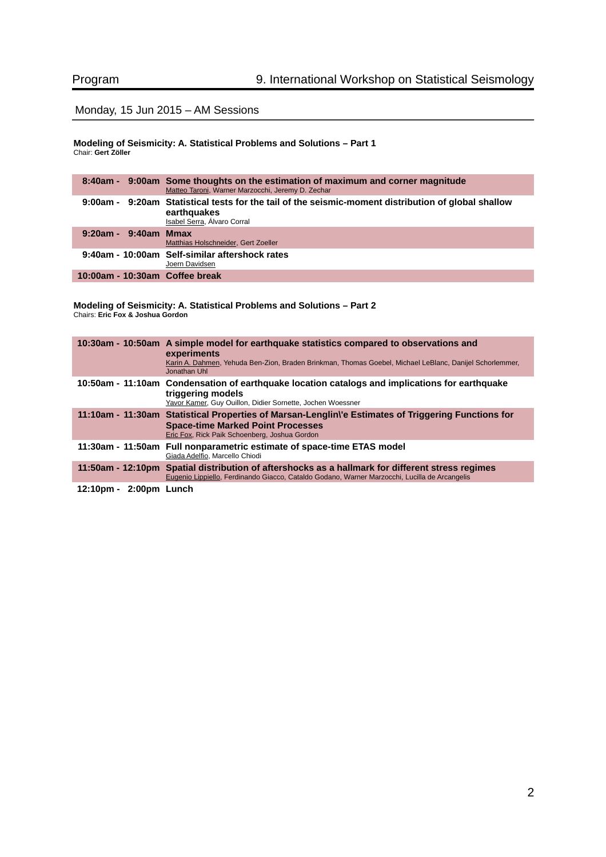## Monday, 15 Jun 2015 – AM Sessions

### **Modeling of Seismicity: A. Statistical Problems and Solutions – Part 1** Chair: **Gert Zöller**

|                                | 8:40am - 9:00am Some thoughts on the estimation of maximum and corner magnitude<br>Matteo Taroni, Warner Marzocchi, Jeremy D. Zechar              |
|--------------------------------|---------------------------------------------------------------------------------------------------------------------------------------------------|
|                                | 9:00am - 9:20am Statistical tests for the tail of the seismic-moment distribution of global shallow<br>earthquakes<br>Isabel Serra, Álvaro Corral |
| $9:20am - 9:40am$ Mmax         | Matthias Holschneider, Gert Zoeller                                                                                                               |
|                                | 9:40am - 10:00am Self-similar aftershock rates<br>Joern Davidsen                                                                                  |
| 10:00am - 10:30am Coffee break |                                                                                                                                                   |

### **Modeling of Seismicity: A. Statistical Problems and Solutions – Part 2** Chairs: **Eric Fox & Joshua Gordon**

|                                     | 10:30am - 10:50am A simple model for earthquake statistics compared to observations and<br>experiments<br>Karin A. Dahmen, Yehuda Ben-Zion, Braden Brinkman, Thomas Goebel, Michael LeBlanc, Danijel Schorlemmer,<br>Jonathan Uhl |
|-------------------------------------|-----------------------------------------------------------------------------------------------------------------------------------------------------------------------------------------------------------------------------------|
|                                     | 10:50am - 11:10am Condensation of earthquake location catalogs and implications for earthquake<br>triggering models<br>Yavor Kamer, Guy Ouillon, Didier Sornette, Jochen Woessner                                                 |
|                                     | 11:10am - 11:30am Statistical Properties of Marsan-Lenglin\'e Estimates of Triggering Functions for<br><b>Space-time Marked Point Processes</b><br>Eric Fox, Rick Paik Schoenberg, Joshua Gordon                                  |
|                                     | 11:30am - 11:50am Full nonparametric estimate of space-time ETAS model<br>Giada Adelfio, Marcello Chiodi                                                                                                                          |
|                                     | 11:50am - 12:10pm Spatial distribution of aftershocks as a hallmark for different stress regimes<br>Eugenio Lippiello, Ferdinando Giacco, Cataldo Godano, Warner Marzocchi, Lucilla de Arcangelis                                 |
| 2:00pm Lunch<br>$12:10 \text{pm} -$ |                                                                                                                                                                                                                                   |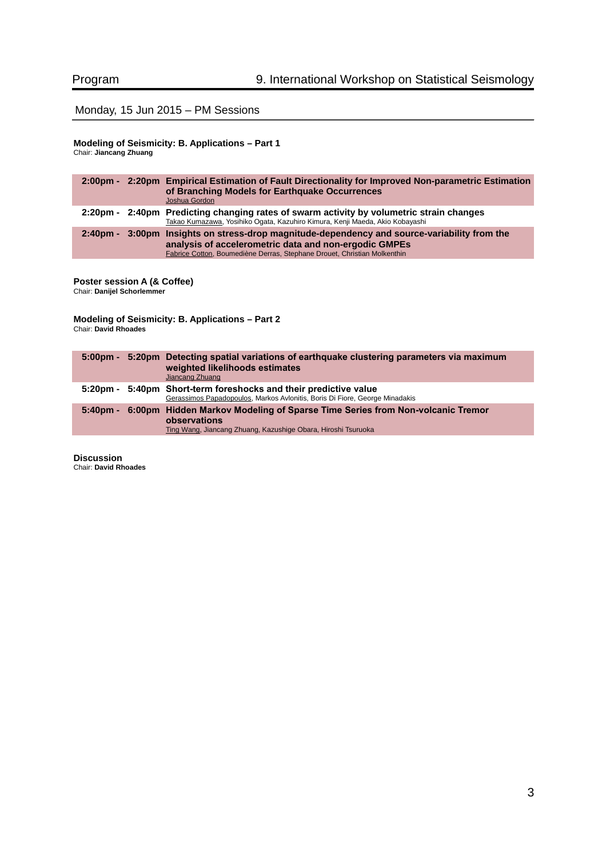## Monday, 15 Jun 2015 – PM Sessions

### **Modeling of Seismicity: B. Applications – Part 1** Chair: **Jiancang Zhuang**

|  | 2:00pm - 2:20pm Empirical Estimation of Fault Directionality for Improved Non-parametric Estimation<br>of Branching Models for Earthquake Occurrences<br>Joshua Gordon                                                            |
|--|-----------------------------------------------------------------------------------------------------------------------------------------------------------------------------------------------------------------------------------|
|  | 2:20pm - 2:40pm Predicting changing rates of swarm activity by volumetric strain changes<br>Takao Kumazawa, Yosihiko Ogata, Kazuhiro Kimura, Kenji Maeda, Akio Kobayashi                                                          |
|  | 2:40pm - 3:00pm Insights on stress-drop magnitude-dependency and source-variability from the<br>analysis of accelerometric data and non-ergodic GMPEs<br>Fabrice Cotton, Boumediène Derras, Stephane Drouet, Christian Molkenthin |

### **Poster session A (& Coffee)**

Chair: **Danijel Schorlemmer**

**Modeling of Seismicity: B. Applications – Part 2** Chair: **David Rhoades**

| 5:00pm - 5:20pm Detecting spatial variations of earthquake clustering parameters via maximum<br>weighted likelihoods estimates<br>Jiancang Zhuang                      |
|------------------------------------------------------------------------------------------------------------------------------------------------------------------------|
| 5:20pm - 5:40pm Short-term foreshocks and their predictive value<br>Gerassimos Papadopoulos, Markos Avlonitis, Boris Di Fiore, George Minadakis                        |
| 5:40pm - 6:00pm Hidden Markov Modeling of Sparse Time Series from Non-volcanic Tremor<br>observations<br>Ting Wang, Jiancang Zhuang, Kazushige Obara, Hiroshi Tsuruoka |

**Discussion** Chair: **David Rhoades**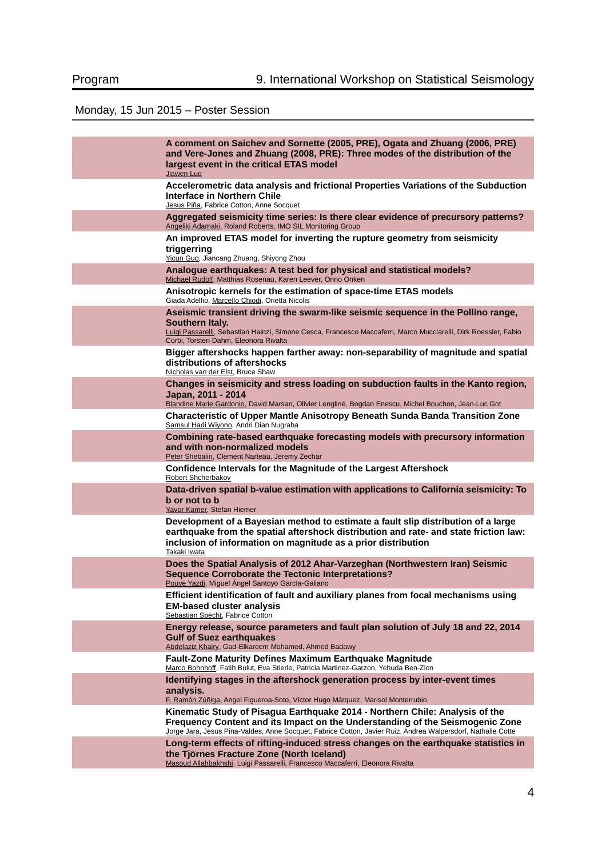# Monday, 15 Jun 2015 – Poster Session

| A comment on Saichev and Sornette (2005, PRE), Ogata and Zhuang (2006, PRE)<br>and Vere-Jones and Zhuang (2008, PRE): Three modes of the distribution of the<br>largest event in the critical ETAS model<br>Jiawen Luo                                                        |
|-------------------------------------------------------------------------------------------------------------------------------------------------------------------------------------------------------------------------------------------------------------------------------|
| Accelerometric data analysis and frictional Properties Variations of the Subduction<br>Interface in Northern Chile<br>Jesus Piña, Fabrice Cotton, Anne Socquet                                                                                                                |
| Aggregated seismicity time series: Is there clear evidence of precursory patterns?<br>Angeliki Adamaki, Roland Roberts, IMO SIL Monitoring Group                                                                                                                              |
| An improved ETAS model for inverting the rupture geometry from seismicity<br>triggerring<br>Yicun Guo, Jiancang Zhuang, Shiyong Zhou                                                                                                                                          |
| Analogue earthquakes: A test bed for physical and statistical models?<br>Michael Rudolf, Matthias Rosenau, Karen Leever, Onno Onken                                                                                                                                           |
| Anisotropic kernels for the estimation of space-time ETAS models<br>Giada Adelfio, Marcello Chiodi, Orietta Nicolis                                                                                                                                                           |
| Aseismic transient driving the swarm-like seismic sequence in the Pollino range,<br>Southern Italy.<br>Luigi Passarelli, Sebastian Hainzl, Simone Cesca, Francesco Maccaferri, Marco Mucciarelli, Dirk Roessler, Fabio<br>Corbi, Torsten Dahm, Eleonora Rivalta               |
| Bigger aftershocks happen farther away: non-separability of magnitude and spatial<br>distributions of aftershocks<br>Nicholas van der Elst. Bruce Shaw                                                                                                                        |
| Changes in seismicity and stress loading on subduction faults in the Kanto region,<br>Japan. 2011 - 2014<br>Blandine Marie Gardonio, David Marsan, Olivier Lengliné, Bogdan Enescu, Michel Bouchon, Jean-Luc Got                                                              |
| <b>Characteristic of Upper Mantle Anisotropy Beneath Sunda Banda Transition Zone</b><br>Samsul Hadi Wiyono, Andri Dian Nugraha                                                                                                                                                |
| Combining rate-based earthquake forecasting models with precursory information<br>and with non-normalized models<br>Peter Shebalin, Clement Narteau, Jeremy Zechar                                                                                                            |
| Confidence Intervals for the Magnitude of the Largest Aftershock<br>Robert Shcherbakov                                                                                                                                                                                        |
| Data-driven spatial b-value estimation with applications to California seismicity: To<br><b>b</b> or not to <b>b</b><br>Yavor Kamer, Stefan Hiemer                                                                                                                            |
| Development of a Bayesian method to estimate a fault slip distribution of a large<br>earthquake from the spatial aftershock distribution and rate- and state friction law:<br>inclusion of information on magnitude as a prior distribution<br>Takaki Iwata                   |
| Does the Spatial Analysis of 2012 Ahar-Varzeghan (Northwestern Iran) Seismic<br><b>Sequence Corroborate the Tectonic Interpretations?</b><br>Pouye Yazdi, Miguel Ángel Santoyo García-Galiano                                                                                 |
| Efficient identification of fault and auxiliary planes from focal mechanisms using<br><b>EM-based cluster analysis</b><br>Sebastian Specht, Fabrice Cotton                                                                                                                    |
| Energy release, source parameters and fault plan solution of July 18 and 22, 2014<br><b>Gulf of Suez earthquakes</b><br>Abdelaziz Khairy, Gad-Elkareem Mohamed, Ahmed Badawy                                                                                                  |
| <b>Fault-Zone Maturity Defines Maximum Earthquake Magnitude</b><br>Marco Bohnhoff, Fatih Bulut, Eva Stierle, Patricia Martinez-Garzon, Yehuda Ben-Zion                                                                                                                        |
| Identifying stages in the aftershock generation process by inter-event times<br>analysis.<br>F. Ramón Zúñiga, Angel Figueroa-Soto, Víctor Hugo Márquez, Marisol Monterrubio                                                                                                   |
| Kinematic Study of Pisagua Earthquake 2014 - Northern Chile: Analysis of the<br>Frequency Content and its Impact on the Understanding of the Seismogenic Zone<br>Jorge Jara, Jesus Pina-Valdes, Anne Socquet, Fabrice Cotton, Javier Ruiz, Andrea Walpersdorf, Nathalie Cotte |
| Long-term effects of rifting-induced stress changes on the earthquake statistics in<br>the Tiörnes Fracture Zone (North Iceland)<br>Masoud Allahbakhshi, Luigi Passarelli, Francesco Maccaferri, Eleonora Rivalta                                                             |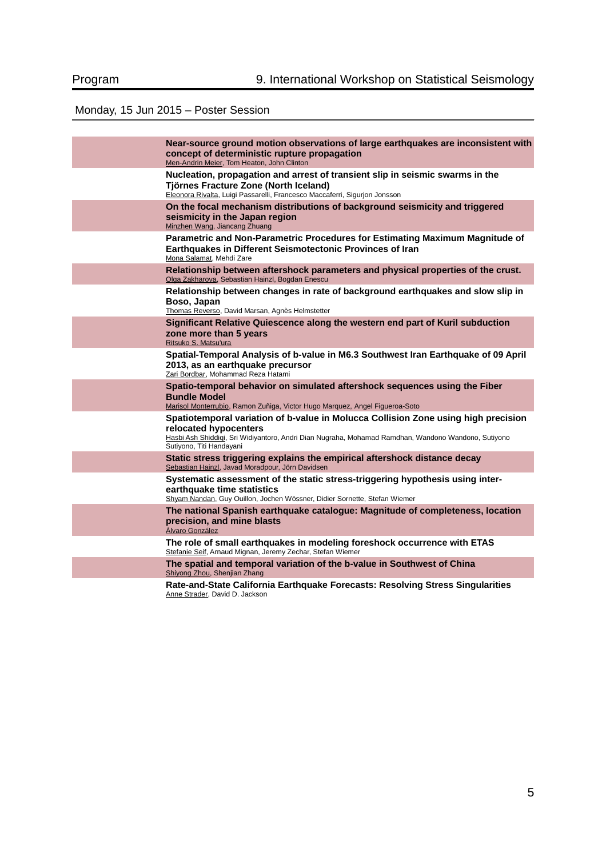# Monday, 15 Jun 2015 – Poster Session

| Near-source ground motion observations of large earthquakes are inconsistent with<br>concept of deterministic rupture propagation<br>Men-Andrin Meier, Tom Heaton, John Clinton                                                                |
|------------------------------------------------------------------------------------------------------------------------------------------------------------------------------------------------------------------------------------------------|
| Nucleation, propagation and arrest of transient slip in seismic swarms in the<br>Tjörnes Fracture Zone (North Iceland)<br>Eleonora Rivalta, Luigi Passarelli, Francesco Maccaferri, Sigurjon Jonsson                                           |
| On the focal mechanism distributions of background seismicity and triggered<br>seismicity in the Japan region<br>Minzhen Wang, Jiancang Zhuang                                                                                                 |
| Parametric and Non-Parametric Procedures for Estimating Maximum Magnitude of<br>Earthquakes in Different Seismotectonic Provinces of Iran<br>Mona Salamat, Mehdi Zare                                                                          |
| Relationship between aftershock parameters and physical properties of the crust.<br>Olga Zakharova, Sebastian Hainzl, Bogdan Enescu                                                                                                            |
| Relationship between changes in rate of background earthquakes and slow slip in<br>Boso, Japan<br>Thomas Reverso, David Marsan, Agnès Helmstetter                                                                                              |
| Significant Relative Ouiescence along the western end part of Kuril subduction<br>zone more than 5 years<br>Ritsuko S. Matsu'ura                                                                                                               |
| Spatial-Temporal Analysis of b-value in M6.3 Southwest Iran Earthquake of 09 April<br>2013, as an earthquake precursor<br>Zari Bordbar, Mohammad Reza Hatami                                                                                   |
| Spatio-temporal behavior on simulated aftershock sequences using the Fiber<br><b>Bundle Model</b><br>Marisol Monterrubio, Ramon Zuñiga, Victor Hugo Marquez, Angel Figueroa-Soto                                                               |
| Spatiotemporal variation of b-value in Molucca Collision Zone using high precision<br>relocated hypocenters<br>Hasbi Ash Shiddigi, Sri Widiyantoro, Andri Dian Nugraha, Mohamad Ramdhan, Wandono Wandono, Sutiyono<br>Sutiyono, Titi Handayani |
| Static stress triggering explains the empirical aftershock distance decay<br>Sebastian Hainzl, Javad Moradpour, Jörn Davidsen                                                                                                                  |
| Systematic assessment of the static stress-triggering hypothesis using inter-<br>earthquake time statistics<br>Shyam Nandan, Guy Ouillon, Jochen Wössner, Didier Sornette, Stefan Wiemer                                                       |
| The national Spanish earthquake catalogue: Magnitude of completeness, location<br>precision, and mine blasts<br>Álvaro González                                                                                                                |
| The role of small earthquakes in modeling foreshock occurrence with ETAS<br>Stefanie Seif, Arnaud Mignan, Jeremy Zechar, Stefan Wiemer                                                                                                         |
| The spatial and temporal variation of the b-value in Southwest of China<br>Shiyong Zhou, Shenjian Zhang                                                                                                                                        |
| Rate-and-State California Earthquake Forecasts: Resolving Stress Singularities<br>Anne Strader, David D. Jackson                                                                                                                               |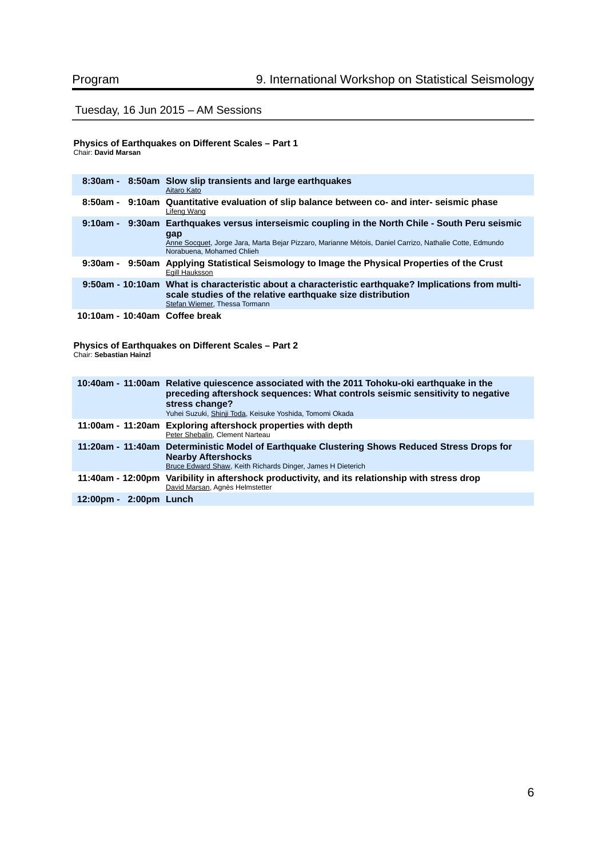## Tuesday, 16 Jun 2015 – AM Sessions

### **Physics of Earthquakes on Different Scales – Part 1** Chair: **David Marsan**

|                                | 8:30am - 8:50am Slow slip transients and large earthquakes<br>Aitaro Kato                                                                                                                                                                       |
|--------------------------------|-------------------------------------------------------------------------------------------------------------------------------------------------------------------------------------------------------------------------------------------------|
|                                | 8:50am - 9:10am Ouantitative evaluation of slip balance between co- and inter- seismic phase<br>Lifeng Wang                                                                                                                                     |
|                                | 9:10am - 9:30am Earthquakes versus interseismic coupling in the North Chile - South Peru seismic<br>gap<br>Anne Socquet, Jorge Jara, Marta Bejar Pizzaro, Marianne Métois, Daniel Carrizo, Nathalie Cotte, Edmundo<br>Norabuena, Mohamed Chlieh |
|                                | 9:30am - 9:50am Applying Statistical Seismology to Image the Physical Properties of the Crust<br>Egill Hauksson                                                                                                                                 |
|                                | 9:50am - 10:10am What is characteristic about a characteristic earthquake? Implications from multi-<br>scale studies of the relative earthquake size distribution<br>Stefan Wiemer, Thessa Tormann                                              |
| 10:10am - 10:40am Coffee break |                                                                                                                                                                                                                                                 |

**Physics of Earthquakes on Different Scales – Part 2** Chair: **Sebastian Hainzl**

|                        | 10:40am - 11:00am Relative guiescence associated with the 2011 Tohoku-oki earthquake in the<br>preceding aftershock sequences: What controls seismic sensitivity to negative<br>stress change?<br>Yuhei Suzuki, Shinji Toda, Keisuke Yoshida, Tomomi Okada |
|------------------------|------------------------------------------------------------------------------------------------------------------------------------------------------------------------------------------------------------------------------------------------------------|
|                        | 11:00am - 11:20am Exploring aftershock properties with depth<br>Peter Shebalin, Clement Narteau                                                                                                                                                            |
|                        | 11:20am - 11:40am Deterministic Model of Earthquake Clustering Shows Reduced Stress Drops for<br><b>Nearby Aftershocks</b><br>Bruce Edward Shaw, Keith Richards Dinger, James H Dieterich                                                                  |
|                        | 11:40am - 12:00pm Varibility in aftershock productivity, and its relationship with stress drop<br>David Marsan, Agnès Helmstetter                                                                                                                          |
| 12:00pm - 2:00pm Lunch |                                                                                                                                                                                                                                                            |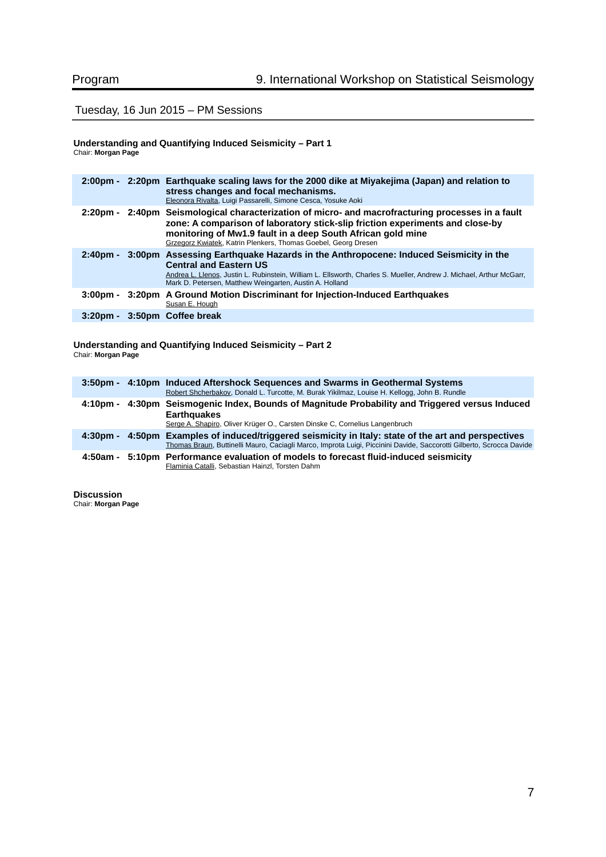## Tuesday, 16 Jun 2015 – PM Sessions

#### **Understanding and Quantifying Induced Seismicity – Part 1** Chair: **Morgan Page**

|                              | 2:00pm - 2:20pm Earthquake scaling laws for the 2000 dike at Miyakejima (Japan) and relation to<br>stress changes and focal mechanisms.<br>Eleonora Rivalta, Luigi Passarelli, Simone Cesca, Yosuke Aoki                                                                                                            |
|------------------------------|---------------------------------------------------------------------------------------------------------------------------------------------------------------------------------------------------------------------------------------------------------------------------------------------------------------------|
|                              | 2:20pm - 2:40pm Seismological characterization of micro- and macrofracturing processes in a fault<br>zone: A comparison of laboratory stick-slip friction experiments and close-by<br>monitoring of Mw1.9 fault in a deep South African gold mine<br>Grzegorz Kwiatek, Katrin Plenkers, Thomas Goebel, Georg Dresen |
|                              | 2:40pm - 3:00pm Assessing Earthquake Hazards in the Anthropocene: Induced Seismicity in the<br><b>Central and Eastern US</b><br>Andrea L. Llenos, Justin L. Rubinstein, William L. Ellsworth, Charles S. Mueller, Andrew J. Michael, Arthur McGarr,<br>Mark D. Petersen, Matthew Weingarten, Austin A. Holland      |
|                              | 3:00pm - 3:20pm A Ground Motion Discriminant for Injection-Induced Earthquakes<br>Susan E. Hough                                                                                                                                                                                                                    |
| 3:20pm - 3:50pm Coffee break |                                                                                                                                                                                                                                                                                                                     |

#### **Understanding and Quantifying Induced Seismicity – Part 2** Chair: **Morgan Page**

|          | 3:50pm - 4:10pm Induced Aftershock Sequences and Swarms in Geothermal Systems<br>Robert Shcherbakov, Donald L. Turcotte, M. Burak Yikilmaz, Louise H. Kellogg, John B. Rundle                                       |
|----------|---------------------------------------------------------------------------------------------------------------------------------------------------------------------------------------------------------------------|
| 4:10pm - | 4:30pm Seismogenic Index, Bounds of Magnitude Probability and Triggered versus Induced<br><b>Earthquakes</b><br>Serge A. Shapiro, Oliver Krüger O., Carsten Dinske C, Cornelius Langenbruch                         |
| 4:30pm - | 4:50pm Examples of induced/triggered seismicity in Italy: state of the art and perspectives<br>Thomas Braun, Buttinelli Mauro, Caciagli Marco, Improta Luigi, Piccinini Davide, Saccorotti Gilberto, Scrocca Davide |
| 4:50am - | 5:10pm Performance evaluation of models to forecast fluid-induced seismicity<br>Flaminia Catalli, Sebastian Hainzl, Torsten Dahm                                                                                    |

**Discussion** Chair: **Morgan Page**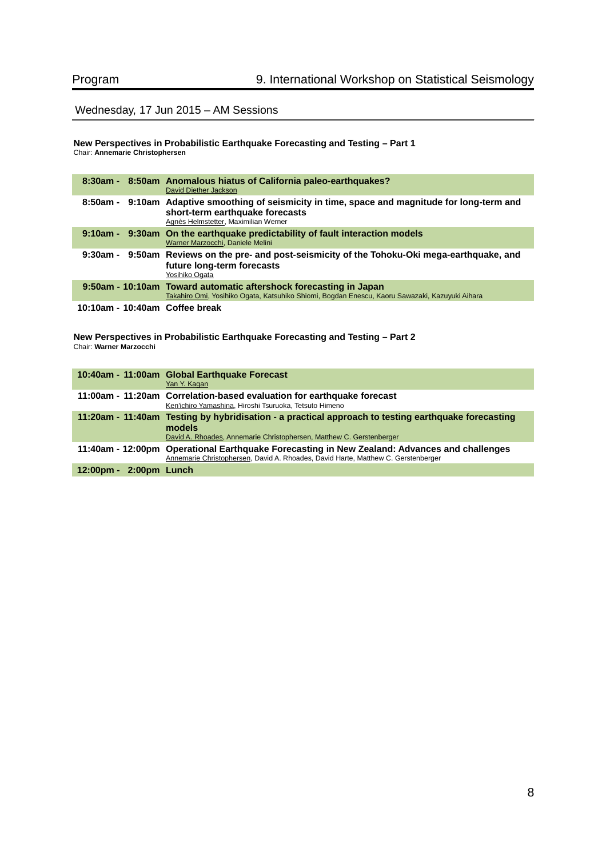## Wednesday, 17 Jun 2015 – AM Sessions

**New Perspectives in Probabilistic Earthquake Forecasting and Testing – Part 1** Chair: **Annemarie Christophersen**

|                                | 8:30am - 8:50am Anomalous hiatus of California paleo-earthquakes?<br>David Diether Jackson                                                                                 |
|--------------------------------|----------------------------------------------------------------------------------------------------------------------------------------------------------------------------|
|                                | 8:50am - 9:10am Adaptive smoothing of seismicity in time, space and magnitude for long-term and<br>short-term earthquake forecasts<br>Agnès Helmstetter, Maximilian Werner |
|                                | 9:10am - 9:30am On the earthquake predictability of fault interaction models<br>Warner Marzocchi, Daniele Melini                                                           |
|                                | 9:30am - 9:50am Reviews on the pre- and post-seismicity of the Tohoku-Oki mega-earthquake, and<br>future long-term forecasts<br>Yosihiko Ogata                             |
|                                | 9:50am - 10:10am Toward automatic aftershock forecasting in Japan<br>Takahiro Omi, Yosihiko Ogata, Katsuhiko Shiomi, Bogdan Enescu, Kaoru Sawazaki, Kazuyuki Aihara        |
| 10:10am - 10:40am Coffee break |                                                                                                                                                                            |

**New Perspectives in Probabilistic Earthquake Forecasting and Testing – Part 2** Chair: **Warner Marzocchi**

|                        | 10:40am - 11:00am Global Earthquake Forecast<br>Yan Y. Kagan                                                                                                                          |
|------------------------|---------------------------------------------------------------------------------------------------------------------------------------------------------------------------------------|
|                        | 11:00am - 11:20am Correlation-based evaluation for earthquake forecast<br>Ken'ichiro Yamashina, Hiroshi Tsuruoka, Tetsuto Himeno                                                      |
|                        | 11:20am - 11:40am Testing by hybridisation - a practical approach to testing earthquake forecasting<br>models<br>David A. Rhoades, Annemarie Christophersen, Matthew C. Gerstenberger |
|                        | 11:40am - 12:00pm Operational Earthquake Forecasting in New Zealand: Advances and challenges<br>Annemarie Christophersen, David A. Rhoades, David Harte, Matthew C. Gerstenberger     |
| 12:00pm - 2:00pm Lunch |                                                                                                                                                                                       |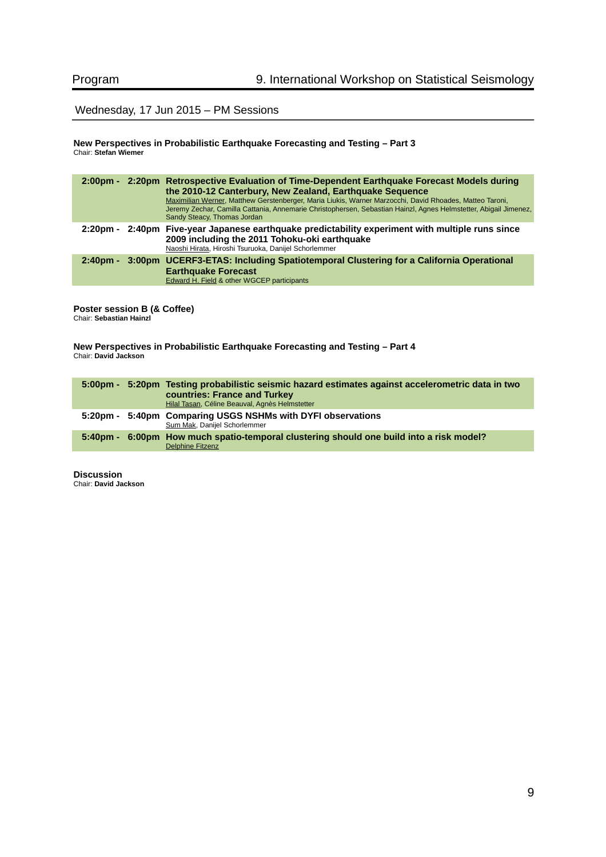## Wednesday, 17 Jun 2015 – PM Sessions

#### **New Perspectives in Probabilistic Earthquake Forecasting and Testing – Part 3** Chair: **Stefan Wiemer**

|          | 2:00pm - 2:20pm Retrospective Evaluation of Time-Dependent Earthquake Forecast Models during<br>the 2010-12 Canterbury, New Zealand, Earthquake Sequence<br>Maximilian Werner, Matthew Gerstenberger, Maria Liukis, Warner Marzocchi, David Rhoades, Matteo Taroni,<br>Jeremy Zechar, Camilla Cattania, Annemarie Christophersen, Sebastian Hainzl, Agnes Helmstetter, Abigail Jimenez,<br>Sandy Steacy, Thomas Jordan |
|----------|------------------------------------------------------------------------------------------------------------------------------------------------------------------------------------------------------------------------------------------------------------------------------------------------------------------------------------------------------------------------------------------------------------------------|
| 2:20pm - | 2:40pm Five-year Japanese earthquake predictability experiment with multiple runs since<br>2009 including the 2011 Tohoku-oki earthquake<br>Naoshi Hirata, Hiroshi Tsuruoka, Danijel Schorlemmer                                                                                                                                                                                                                       |
| 2:40pm - | 3:00pm UCERF3-ETAS: Including Spatiotemporal Clustering for a California Operational<br><b>Earthquake Forecast</b><br>Edward H. Field & other WGCEP participants                                                                                                                                                                                                                                                       |

**Poster session B (& Coffee)** Chair: **Sebastian Hainzl**

**New Perspectives in Probabilistic Earthquake Forecasting and Testing – Part 4** Chair: **David Jackson**

|  | 5:00pm - 5:20pm Testing probabilistic seismic hazard estimates against accelerometric data in two<br><b>countries: France and Turkey</b><br>Hilal Tasan, Céline Beauval, Agnès Helmstetter |
|--|--------------------------------------------------------------------------------------------------------------------------------------------------------------------------------------------|
|  | 5:20pm - 5:40pm Comparing USGS NSHMs with DYFI observations<br>Sum Mak, Danijel Schorlemmer                                                                                                |
|  | 5:40pm - 6:00pm How much spatio-temporal clustering should one build into a risk model?<br><b>Delphine Fitzenz</b>                                                                         |

**Discussion** Chair: **David Jackson**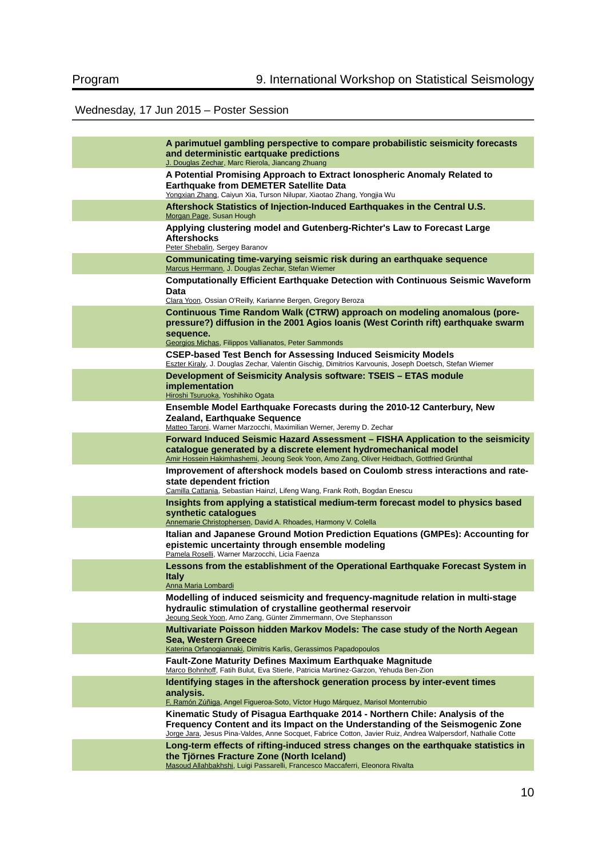# Wednesday, 17 Jun 2015 – Poster Session

| A parimutuel gambling perspective to compare probabilistic seismicity forecasts<br>and deterministic eartquake predictions<br>J. Douglas Zechar, Marc Rierola, Jiancang Zhuang                                                                                                |
|-------------------------------------------------------------------------------------------------------------------------------------------------------------------------------------------------------------------------------------------------------------------------------|
| A Potential Promising Approach to Extract lonospheric Anomaly Related to<br><b>Earthquake from DEMETER Satellite Data</b><br>Yongxian Zhang, Caiyun Xia, Turson Nilupar, Xiaotao Zhang, Yongjia Wu                                                                            |
| Aftershock Statistics of Injection-Induced Earthquakes in the Central U.S.<br>Morgan Page, Susan Hough                                                                                                                                                                        |
| Applying clustering model and Gutenberg-Richter's Law to Forecast Large<br>Aftershocks<br>Peter Shebalin, Sergey Baranov                                                                                                                                                      |
| Communicating time-varying seismic risk during an earthquake sequence<br>Marcus Herrmann, J. Douglas Zechar, Stefan Wiemer                                                                                                                                                    |
| <b>Computationally Efficient Earthquake Detection with Continuous Seismic Waveform</b><br>Data<br>Clara Yoon, Ossian O'Reilly, Karianne Bergen, Gregory Beroza                                                                                                                |
| Continuous Time Random Walk (CTRW) approach on modeling anomalous (pore-<br>pressure?) diffusion in the 2001 Agios Ioanis (West Corinth rift) earthquake swarm<br>sequence.<br>Georgios Michas, Filippos Vallianatos, Peter Sammonds                                          |
| <b>CSEP-based Test Bench for Assessing Induced Seismicity Models</b><br>Eszter Kiraly, J. Douglas Zechar, Valentin Gischig, Dimitrios Karvounis, Joseph Doetsch, Stefan Wiemer                                                                                                |
| Development of Seismicity Analysis software: TSEIS - ETAS module<br>implementation<br>Hiroshi Tsuruoka, Yoshihiko Ogata                                                                                                                                                       |
| Ensemble Model Earthquake Forecasts during the 2010-12 Canterbury, New<br>Zealand, Earthquake Sequence<br>Matteo Taroni, Warner Marzocchi, Maximilian Werner, Jeremy D. Zechar                                                                                                |
| Forward Induced Seismic Hazard Assessment - FISHA Application to the seismicity<br>catalogue generated by a discrete element hydromechanical model<br>Amir Hossein Hakimhashemi, Jeoung Seok Yoon, Arno Zang, Oliver Heidbach, Gottfried Grünthal                             |
| Improvement of aftershock models based on Coulomb stress interactions and rate-<br>state dependent friction<br>Camilla Cattania, Sebastian Hainzl, Lifeng Wang, Frank Roth, Bogdan Enescu                                                                                     |
| Insights from applying a statistical medium-term forecast model to physics based<br>synthetic catalogues<br>Annemarie Christophersen, David A. Rhoades, Harmony V. Colella                                                                                                    |
| Italian and Japanese Ground Motion Prediction Equations (GMPEs): Accounting for<br>epistemic uncertainty through ensemble modeling<br>Pamela Roselli, Warner Marzocchi, Licia Faenza                                                                                          |
| Lessons from the establishment of the Operational Earthquake Forecast System in<br>Italv<br><b>Anna Maria Lombardi</b>                                                                                                                                                        |
| Modelling of induced seismicity and frequency-magnitude relation in multi-stage<br>hydraulic stimulation of crystalline geothermal reservoir<br>Jeoung Seok Yoon, Arno Zang, Günter Zimmermann, Ove Stephansson                                                               |
| Multivariate Poisson hidden Markov Models: The case study of the North Aegean<br><b>Sea, Western Greece</b><br>Katerina Orfanogiannaki, Dimitris Karlis, Gerassimos Papadopoulos                                                                                              |
| <b>Fault-Zone Maturity Defines Maximum Earthquake Magnitude</b><br>Marco Bohnhoff, Fatih Bulut, Eva Stierle, Patricia Martinez-Garzon, Yehuda Ben-Zion                                                                                                                        |
| Identifying stages in the aftershock generation process by inter-event times<br>analysis.<br>F. Ramón Zúñiga, Angel Figueroa-Soto, Víctor Hugo Márquez, Marisol Monterrubio                                                                                                   |
| Kinematic Study of Pisagua Earthquake 2014 - Northern Chile: Analysis of the<br>Frequency Content and its Impact on the Understanding of the Seismogenic Zone<br>Jorge Jara, Jesus Pina-Valdes, Anne Socquet, Fabrice Cotton, Javier Ruiz, Andrea Walpersdorf, Nathalie Cotte |
| Long-term effects of rifting-induced stress changes on the earthquake statistics in<br>the Tiörnes Fracture Zone (North Iceland)<br>Masoud Allahbakhshi, Luigi Passarelli, Francesco Maccaferri, Eleonora Rivalta                                                             |